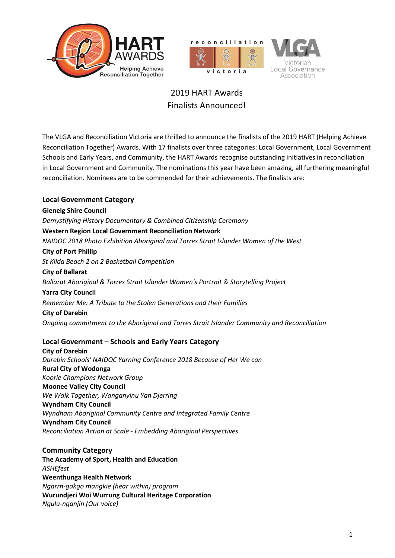





## 2019 HART Awards Finalists Announced!

The VLGA and Reconciliation Victoria are thrilled to announce the finalists of the 2019 HART (Helping Achieve Reconciliation Together) Awards. With 17 finalists over three categories: Local Government, Local Government Schools and Early Years, and Community, the HART Awards recognise outstanding initiatives in reconciliation in Local Government and Community. The nominations this year have been amazing, all furthering meaningful reconciliation. Nominees are to be commended for their achievements. The finalists are:

**Local Government Category Glenelg Shire Council** *Demystifying History Documentary & Combined Citizenship Ceremony* **Western Region Local Government Reconciliation Network** *NAIDOC 2018 Photo Exhibition Aboriginal and Torres Strait Islander Women of the West* **City of Port Phillip** *St Kilda Beach 2 on 2 Basketball Competition* **City of Ballarat** *Ballarat Aboriginal & Torres Strait Islander Women's Portrait & Storytelling Project*  **Yarra City Council** *Remember Me: A Tribute to the Stolen Generations and their Families* **City of Darebin**  *Ongoing commitment to the Aboriginal and Torres Strait Islander Community and Reconciliation*

## **Local Government – Schools and Early Years Category**

**City of Darebin** *Darebin Schools' NAIDOC Yarning Conference 2018 Because of Her We can* **Rural City of Wodonga** *Koorie Champions Network Group* **Moonee Valley City Council** *We Walk Together, Wanganyinu Yan Djerring* **Wyndham City Council** *Wyndham Aboriginal Community Centre and Integrated Family Centre* **Wyndham City Council** *Reconciliation Action at Scale - Embedding Aboriginal Perspectives*

**Community Category The Academy of Sport, Health and Education** *ASHEfest* **Weenthunga Health Network** *Ngarrn-gakgo mangkie (hear within) program* **Wurundjeri Woi Wurrung Cultural Heritage Corporation** *Ngulu-nganjin (Our voice)*